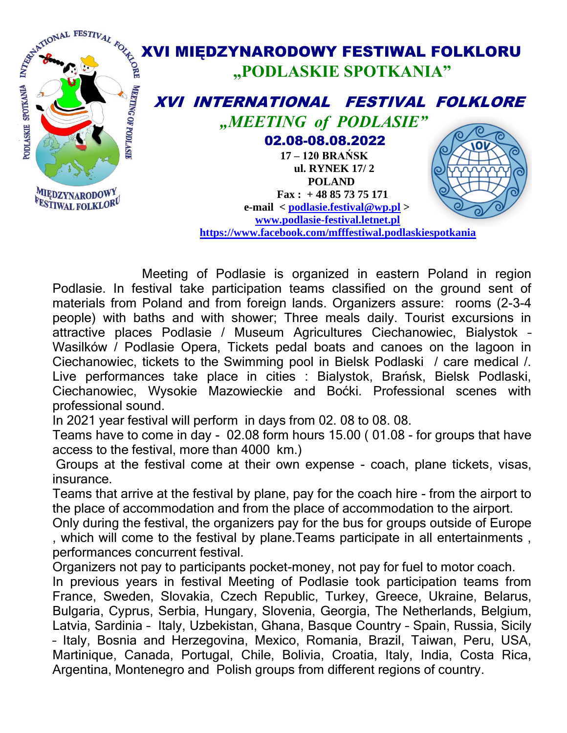

 Meeting of Podlasie is organized in eastern Poland in region Podlasie. In festival take participation teams classified on the ground sent of materials from Poland and from foreign lands. Organizers assure: rooms (2-3-4 people) with baths and with shower; Three meals daily. Tourist excursions in attractive places Podlasie / Museum Agricultures Ciechanowiec, Bialystok – Wasilków / Podlasie Opera, Tickets pedal boats and canoes on the lagoon in Ciechanowiec, tickets to the Swimming pool in Bielsk Podlaski / care medical /. Live performances take place in cities : Bialystok, Brańsk, Bielsk Podlaski, Ciechanowiec, Wysokie Mazowieckie and Boćki. Professional scenes with professional sound.

In 2021 year festival will perform in days from 02. 08 to 08. 08.

Teams have to come in day - 02.08 form hours 15.00 ( 01.08 - for groups that have access to the festival, more than 4000 km.)

Groups at the festival come at their own expense - coach, plane tickets, visas, insurance.

Teams that arrive at the festival by plane, pay for the coach hire - from the airport to the place of accommodation and from the place of accommodation to the airport.

Only during the festival, the organizers pay for the bus for groups outside of Europe , which will come to the festival by plane.Teams participate in all entertainments , performances concurrent festival.

Organizers not pay to participants pocket-money, not pay for fuel to motor coach.

In previous years in festival Meeting of Podlasie took participation teams from France, Sweden, Slovakia, Czech Republic, Turkey, Greece, Ukraine, Belarus, Bulgaria, Cyprus, Serbia, Hungary, Slovenia, Georgia, The Netherlands, Belgium, Latvia, Sardinia – Italy, Uzbekistan, Ghana, Basque Country – Spain, Russia, Sicily – Italy, Bosnia and Herzegovina, Mexico, Romania, Brazil, Taiwan, Peru, USA, Martinique, Canada, Portugal, Chile, Bolivia, Croatia, Italy, India, Costa Rica, Argentina, Montenegro and Polish groups from different regions of country.